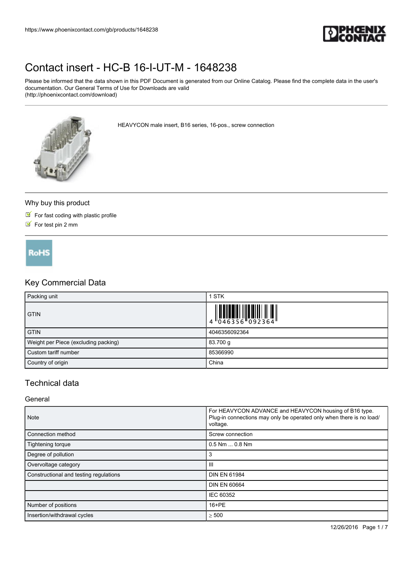

Please be informed that the data shown in this PDF Document is generated from our Online Catalog. Please find the complete data in the user's documentation. Our General Terms of Use for Downloads are valid (http://phoenixcontact.com/download)

HEAVYCON male insert, B16 series, 16-pos., screw connection



#### Why buy this product

- $\blacksquare$  For fast coding with plastic profile
- $\triangleright$  For test pin 2 mm

**RoHS** 

### Key Commercial Data

| Packing unit                         | <b>STK</b>    |
|--------------------------------------|---------------|
| <b>GTIN</b>                          |               |
| <b>GTIN</b>                          | 4046356092364 |
| Weight per Piece (excluding packing) | 83.700 g      |
| Custom tariff number                 | 85366990      |
| Country of origin                    | China         |

### Technical data

#### General

| <b>Note</b>                            | For HEAVYCON ADVANCE and HEAVYCON housing of B16 type.<br>Plug-in connections may only be operated only when there is no load/<br>voltage. |
|----------------------------------------|--------------------------------------------------------------------------------------------------------------------------------------------|
| Connection method                      | Screw connection                                                                                                                           |
| Tightening torque                      | $0.5$ Nm $$ 0.8 Nm                                                                                                                         |
| Degree of pollution                    | 3                                                                                                                                          |
| Overvoltage category                   | Ш                                                                                                                                          |
| Constructional and testing regulations | <b>DIN EN 61984</b>                                                                                                                        |
|                                        | <b>DIN EN 60664</b>                                                                                                                        |
|                                        | IEC 60352                                                                                                                                  |
| Number of positions                    | 16+PE                                                                                                                                      |
| Insertion/withdrawal cycles            | $\geq 500$                                                                                                                                 |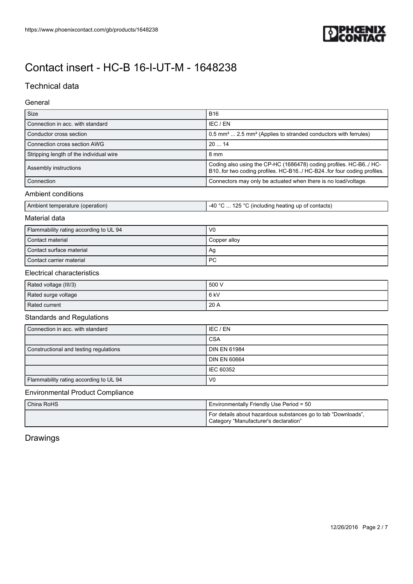

### Technical data

#### General

| Size                                    | <b>B16</b>                                                                                                                                   |
|-----------------------------------------|----------------------------------------------------------------------------------------------------------------------------------------------|
| Connection in acc. with standard        | IEC / EN                                                                                                                                     |
| Conductor cross section                 | 0.5 mm <sup>2</sup> 2.5 mm <sup>2</sup> (Applies to stranded conductors with ferrules)                                                       |
| Connection cross section AWG            | 2014                                                                                                                                         |
| Stripping length of the individual wire | 8 mm                                                                                                                                         |
| Assembly instructions                   | Coding also using the CP-HC (1686478) coding profiles. HC-B6/ HC-<br>B10. for two coding profiles. HC-B16/ HC-B24. for four coding profiles. |
| Connection                              | Connectors may only be actuated when there is no load/voltage.                                                                               |
| <b>Ambient conditions</b>               |                                                                                                                                              |
| Ambient temperature (operation)         | -40 °C  125 °C (including heating up of contacts)                                                                                            |
| Material data                           |                                                                                                                                              |
| Flammability rating according to UL 94  | V <sub>0</sub>                                                                                                                               |
| Contact material                        | Copper alloy                                                                                                                                 |
| Contact surface material                | Ag                                                                                                                                           |
| Contact carrier material                | <b>PC</b>                                                                                                                                    |
| <b>Electrical characteristics</b>       |                                                                                                                                              |
| Rated voltage (III/3)                   | 500 V                                                                                                                                        |
| Rated surge voltage                     | 6 <sub>kV</sub>                                                                                                                              |
| Rated current                           | 20 A                                                                                                                                         |
| <b>Standards and Regulations</b>        |                                                                                                                                              |
| Connection in acc. with standard        | IEC / EN                                                                                                                                     |
|                                         | CSA                                                                                                                                          |
| Constructional and testing regulations  | <b>DIN EN 61984</b>                                                                                                                          |
|                                         | <b>DIN EN 60664</b>                                                                                                                          |
|                                         | <b>IEC 60352</b>                                                                                                                             |
| Flammability rating according to UL 94  | V <sub>0</sub>                                                                                                                               |
| <b>Environmental Product Compliance</b> |                                                                                                                                              |
|                                         |                                                                                                                                              |

| China RoHS | Environmentally Friendly Use Period = 50                                                               |
|------------|--------------------------------------------------------------------------------------------------------|
|            | For details about hazardous substances go to tab "Downloads".<br>Category "Manufacturer's declaration" |

## Drawings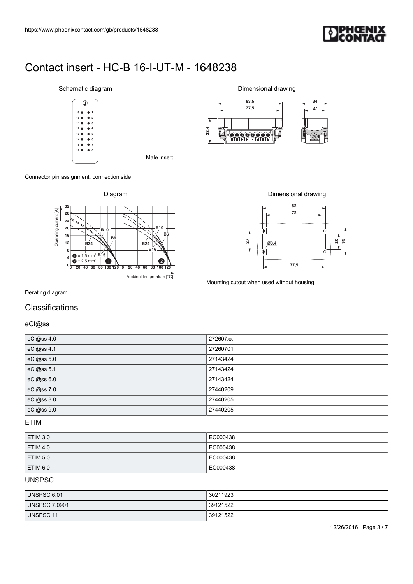

#### Schematic diagram **12 11 10 9 4 3 2 1**

#### Connector pin assignment, connection side









#### Derating diagram

### Classifications

| https://www.phoenixcontact.com/gb/products/1648238                                                                                                                                                                   |                                                                                       |
|----------------------------------------------------------------------------------------------------------------------------------------------------------------------------------------------------------------------|---------------------------------------------------------------------------------------|
|                                                                                                                                                                                                                      |                                                                                       |
| Contact insert - HC-B 16-I-UT-M - 1648238                                                                                                                                                                            |                                                                                       |
| Schematic diagram                                                                                                                                                                                                    | Dimensional drawing<br>83,5                                                           |
| ⊕<br>$\overline{\mathbf{2}}$                                                                                                                                                                                         | 34<br>77,5<br>27                                                                      |
| 11<br>15 0<br>$\overline{7}$                                                                                                                                                                                         | 32,4<br>Щ<br><u>Gooogoo</u>                                                           |
| 16<br>$\bullet$ 8<br>Male insert                                                                                                                                                                                     |                                                                                       |
| Connector pin assignment, connection side                                                                                                                                                                            |                                                                                       |
| Diagram<br>32                                                                                                                                                                                                        | Dimensional drawing<br>82                                                             |
| Operating current [A]<br>28<br>24<br><b>B10</b><br>${\bf 20}$<br><b>B10</b><br>B6<br>$16$<br>B6<br>$\frac{1}{2}$<br>12<br><b>B24</b><br>B16<br>8<br>$= 1.5$ mm <sup>2</sup> $\underline{B16}$<br>$\overline{4}$<br>6 | 72<br>∣⊕<br>$\frac{20}{35}$<br>$\overline{27}$<br>03,4<br>ı<br>$\overline{\bigoplus}$ |
| $= 2.5$ mm <sup>2</sup><br>$\bullet$<br>❷<br>V<br>$\mathbf{0}_{\mathbf{0}}^{\mathsf{L}}$<br>40 60 80 100 120 0 20 40 60 80 100 120<br>20<br>Ambient temperature [°C]                                                 | 77,5<br>Mounting cutout when used without housing                                     |
| Derating diagram                                                                                                                                                                                                     |                                                                                       |
| Classifications                                                                                                                                                                                                      |                                                                                       |
| eCI@ss<br>eCl@ss 4.0                                                                                                                                                                                                 | 272607xx                                                                              |
| eCl@ss 4.1                                                                                                                                                                                                           | 27260701                                                                              |
| eCl@ss 5.0                                                                                                                                                                                                           | 27143424                                                                              |
| eCl@ss 5.1<br>eCl@ss 6.0                                                                                                                                                                                             | 27143424<br>27143424                                                                  |
| eCl@ss 7.0                                                                                                                                                                                                           | 27440209                                                                              |
| eCl@ss 8.0                                                                                                                                                                                                           | 27440205                                                                              |
| eCl@ss 9.0                                                                                                                                                                                                           | 27440205                                                                              |

#### ETIM

| <b>ETIM 3.0</b> | EC000438 |
|-----------------|----------|
| <b>ETIM 4.0</b> | EC000438 |
| <b>ETIM 5.0</b> | EC000438 |
| ETIM 6.0        | EC000438 |

### UNSPSC

| UNSPSC 6.01   | 30211923 |
|---------------|----------|
| UNSPSC 7.0901 | 39121522 |
| UNSPSC 11     | 39121522 |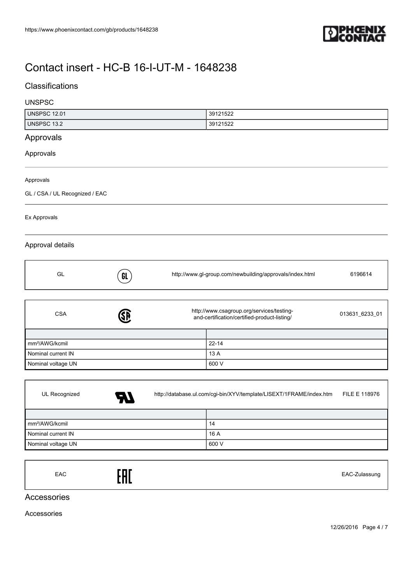

### **Classifications**

#### UNSPSC

| <b>UNSPSC 12.01</b>            |     | 39121522                                                                                  |                |
|--------------------------------|-----|-------------------------------------------------------------------------------------------|----------------|
| <b>UNSPSC 13.2</b>             |     | 39121522                                                                                  |                |
| Approvals                      |     |                                                                                           |                |
| Approvals                      |     |                                                                                           |                |
| Approvals                      |     |                                                                                           |                |
| GL / CSA / UL Recognized / EAC |     |                                                                                           |                |
| Ex Approvals                   |     |                                                                                           |                |
| Approval details               |     |                                                                                           |                |
| GL                             | GL  | http://www.gl-group.com/newbuilding/approvals/index.html                                  | 6196614        |
|                                |     |                                                                                           |                |
| <b>CSA</b>                     | SD. | http://www.csagroup.org/services/testing-<br>and-certification/certified-product-listing/ | 013631_6233_01 |
|                                |     |                                                                                           |                |
| mm <sup>2</sup> /AWG/kcmil     |     | $22 - 14$                                                                                 |                |
| Nominal current IN             |     | 13 A                                                                                      |                |
| Nominal voltage UN             |     | 600 V                                                                                     |                |
|                                |     |                                                                                           |                |
| UL Recognized                  |     | http://database.ul.com/cgi-bin/XYV/template/LISEXT/1FRAME/index.htm                       | FILE E 118976  |

| 7 A D                      |       |
|----------------------------|-------|
|                            |       |
| mm <sup>2</sup> /AWG/kcmil | 14    |
| Nominal current IN         | 16 A  |
| Nominal voltage UN         | 600 V |

|--|

### Accessories

Accessories

f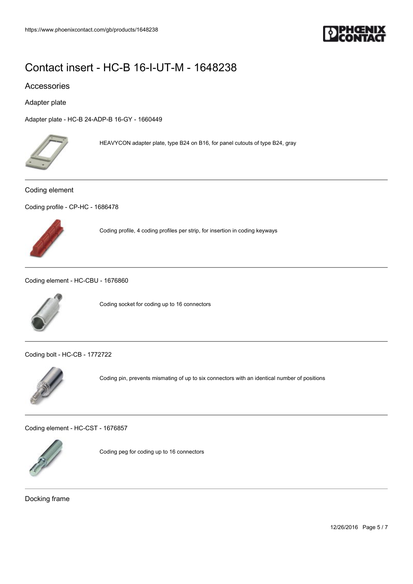

#### Accessories

Adapter plate

[Adapter plate - HC-B 24-ADP-B 16-GY - 1660449](https://www.phoenixcontact.com/gb/products/1660449)



HEAVYCON adapter plate, type B24 on B16, for panel cutouts of type B24, gray

#### Coding element

[Coding profile - CP-HC - 1686478](https://www.phoenixcontact.com/gb/products/1686478)



Coding profile, 4 coding profiles per strip, for insertion in coding keyways

[Coding element - HC-CBU - 1676860](https://www.phoenixcontact.com/gb/products/1676860)



Coding socket for coding up to 16 connectors

[Coding bolt - HC-CB - 1772722](https://www.phoenixcontact.com/gb/products/1772722)



Coding pin, prevents mismating of up to six connectors with an identical number of positions

[Coding element - HC-CST - 1676857](https://www.phoenixcontact.com/gb/products/1676857)



Coding peg for coding up to 16 connectors

Docking frame

12/26/2016 Page 5 / 7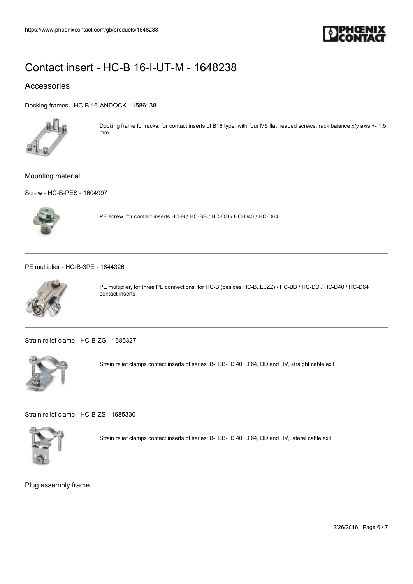

### Accessories

[Docking frames - HC-B 16-ANDOCK - 1586138](https://www.phoenixcontact.com/gb/products/1586138)



Docking frame for racks, for contact inserts of B16 type, with four M5 flat headed screws, rack balance x/y axis +- 1.5 mm

#### Mounting material

[Screw - HC-B-PES - 1604997](https://www.phoenixcontact.com/gb/products/1604997)



PE screw, for contact inserts HC-B / HC-BB / HC-DD / HC-D40 / HC-D64

[PE multiplier - HC-B-3PE - 1644326](https://www.phoenixcontact.com/gb/products/1644326)



PE multiplier, for three PE connections, for HC-B (besides HC-B..E..ZZ) / HC-BB / HC-DD / HC-D40 / HC-D64 contact inserts

[Strain relief clamp - HC-B-ZG - 1685327](https://www.phoenixcontact.com/gb/products/1685327)



Strain relief clamps contact inserts of series: B-, BB-, D 40, D 64, DD and HV, straight cable exit

[Strain relief clamp - HC-B-ZS - 1685330](https://www.phoenixcontact.com/gb/products/1685330)



Strain relief clamps contact inserts of series: B-, BB-, D 40, D 64, DD and HV, lateral cable exit

Plug assembly frame